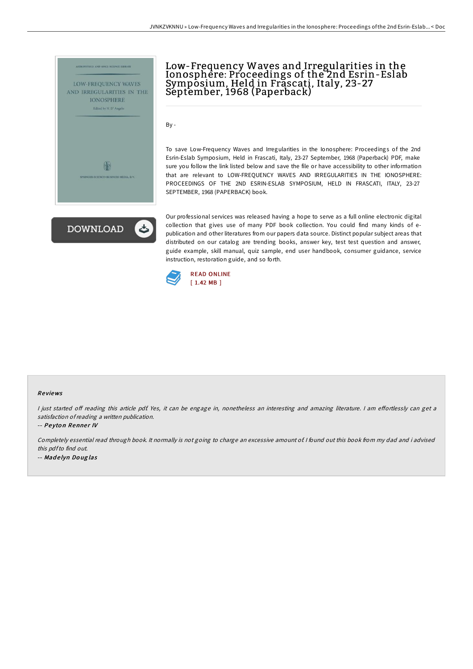

# Low-Frequency Waves and Irregularities in the Ionosphere: Proceedings of the 2nd Esrin-Eslab Symposium, Held in Frascati, Italy, 23-27 September, 1968 (Paperback)

By -

To save Low-Frequency Waves and Irregularities in the Ionosphere: Proceedings of the 2nd Esrin-Eslab Symposium, Held in Frascati, Italy, 23-27 September, 1968 (Paperback) PDF, make sure you follow the link listed below and save the file or have accessibility to other information that are relevant to LOW-FREQUENCY WAVES AND IRREGULARITIES IN THE IONOSPHERE: PROCEEDINGS OF THE 2ND ESRIN-ESLAB SYMPOSIUM, HELD IN FRASCATI, ITALY, 23-27 SEPTEMBER, 1968 (PAPERBACK) book.

**DOWNLOAD** 

Our professional services was released having a hope to serve as a full online electronic digital collection that gives use of many PDF book collection. You could find many kinds of epublication and other literatures from our papers data source. Distinct popular subject areas that distributed on our catalog are trending books, answer key, test test question and answer, guide example, skill manual, quiz sample, end user handbook, consumer guidance, service instruction, restoration guide, and so forth.



#### Re views

I just started off reading this article pdf. Yes, it can be engage in, nonetheless an interesting and amazing literature. I am effortlessly can get a satisfaction ofreading <sup>a</sup> written publication.

-- Peyton Renner IV

Completely essential read through book. It normally is not going to charge an excessive amount of. <sup>I</sup> found out this book from my dad and i advised this pdfto find out. -- Mad <sup>e</sup> lyn Do ug las